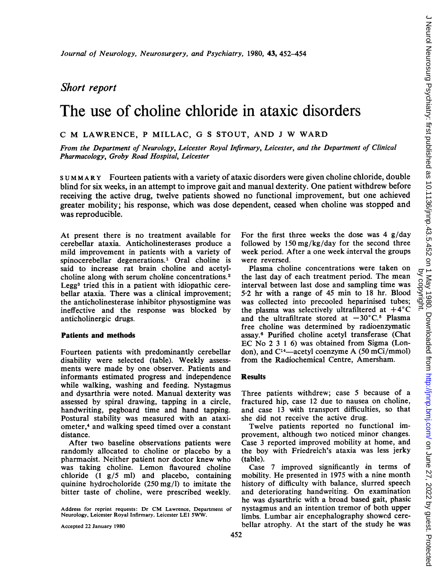# Short report

# The use of choline chloride in ataxic disorders

## <sup>C</sup> M LAWRENCE, <sup>P</sup> MILLAC, G <sup>S</sup> STOUT, AND <sup>J</sup> W WARD

From the Department of Neurology, Leicester Royal Infirmary, Leicester, and the Department of Clinical Pharmacology, Groby Road Hospital, Leicester

SUMMARY Fourteen patients with a variety of ataxic disorders were given choline chloride, double blind for six weeks, in an attempt to improve gait and manual dexterity. One patient withdrew before receiving the active drug, twelve patients showed no functional improvement, but one achieved greater mobility; his response, which was dose dependent, ceased when choline was stopped and was reproducible.

At present there is no treatment available for cerebellar ataxia. Anticholinesterases produce a mild improvement in patients with a variety of spinocerebellar degenerations.' Oral choline is said to increase rat brain choline and acetylcholine along with serum choline concentrations.2 Legg3 tried this in a patient with idiopathic cerebellar ataxia. There was a clinical improvement; the anticholinesterase inhibitor physostigmine was ineffective and the response was blocked by anticholinergic drugs.

#### Patients and methods

Fourteen patients with predominantly cerebellar disability were selected (table). Weekly assessments were made by one observer. Patients and informants estimated progress and independence while walking, washing and feeding. Nystagmus and dysarthria were noted. Manual dexterity was assessed by spiral drawing, tapping in a circle, handwriting, pegboard time and hand tapping. Postural stability was measured with an ataxiometer,4 and walking speed timed over a constant distance.

After two baseline observations patients were randomly allocated to choline or placebo by a pharmacist. Neither patient nor doctor knew who was taking choline. Lemon flavoured choline chloride (1 g/5 ml) and placebo, containing quinine hydrocholoride  $(250 \text{ mg/l})$  to imitate the bitter taste of choline, were prescribed weekly.

Address for reprint requests: Dr CM Lawrence, Department of Neurology, Leicester Royal Infirmary. Leicester LEI 5WW.

Accepted 22 January 1980

Case 7 improved significantly in terms of

mobility. He presented in 1975 with a nine month history of difficulty with balance, slurred speech and deteriorating handwriting. On examination he was dysarthric with a broad based gait, phasic nystagmus and an intention tremor of both upper limbs. Lumbar air encephalography showed cerebellar atrophy. At the start of the study he was

For the first three weeks the dose was 4 g/day followed by 150 mg/kg/day for the second three week period. After a one week interval the groups were reversed.

Plasma choline concentrations were taken on the last day of each treatment period. The mean interval between last dose and sampling time was 5-2 hr with a range of 45 min to 18 hr. Blood was collected into precooled heparinised tubes; the plasma was selectively ultrafiltered at  $+4^{\circ}$ C and the ultrafiltrate stored at  $-30^{\circ}$ C.<sup>5</sup> Plasma free choline was determined by radioenzymatic assay.6 Purified choline acetyl transferase (Chat EC No <sup>2</sup> <sup>3</sup> <sup>1</sup> 6) was obtained from Sigma (London), and  $C^{14}$ —acetyl coenzyme A (50 mCi/mmol) from the Radiochemical Centre, Amersham.

### **Results**

Three patients withdrew; case 5 because of a fractured hip, case 12 due to nausea on choline, and case 13 with transport difficulties, so that she did not receive the active drug.

Twelve patients reported no functional improvement, although two noticed minor changes. Case <sup>3</sup> reported improved mobility at home, and the boy with Friedreich's ataxia was less jerky (table).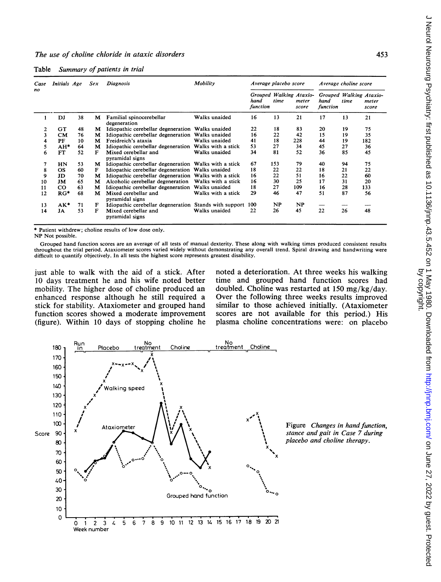|  | Table Summary of patients in trial |  |  |  |  |  |
|--|------------------------------------|--|--|--|--|--|
|--|------------------------------------|--|--|--|--|--|

| Case<br>no | Initials Age |    | Sex | <b>Diagnosis</b>                                       | Mobility           | Average placebo score |      |                | Average choline score                                               |      |                |
|------------|--------------|----|-----|--------------------------------------------------------|--------------------|-----------------------|------|----------------|---------------------------------------------------------------------|------|----------------|
|            |              |    |     |                                                        |                    | hand<br>function      | time | meter<br>score | Grouped Walking Ataxio- Grouped Walking Ataxio-<br>hand<br>function | time | meter<br>score |
|            | DJ           | 38 | М   | Familial spinocerebellar<br>degeneration               | Walks unaided      | 16                    | 13   | 21             | 17                                                                  | 13   | 21             |
| 2          | GT           | 48 | м   | Idiopathic cerebellar degeneration Walks unaided       |                    | 22                    | 18   | 83             | 20                                                                  | 19   | 75             |
| 3          | <b>CM</b>    | 76 | м   | Idiopathic cerebellar degeneration Walks unaided       |                    | 16                    | 22   | 42             | 15                                                                  | 19   | 35             |
| 4          | PF           | 10 | м   | Freidreich's ataxia                                    | Walks unaided      | 41                    | 18   | 228            | 44                                                                  | 19   | 182            |
| 5          | $AH*$        | 64 | м   | Idiopathic cerebellar degeneration Walks with a stick  |                    | 53                    | 27   | 34             | 45                                                                  | 27   | 36             |
| 6          | <b>FT</b>    | 52 | F   | Mixed cerebellar and<br>pyramidal signs                | Walks unaided      | 34                    | 81   | 52             | 36                                                                  | 85   | 45             |
| 7          | HN           | 53 | м   | Idiopathic cerebellar degeneration Walks with a stick  |                    | 67                    | 153  | 79             | 40                                                                  | 94   | 75             |
| 8          | <b>OS</b>    | 60 | F   | Idiopathic cerebellar degeneration Walks unaided       |                    | 18                    | 22   | 22             | 18                                                                  | 21   | 22             |
| 9          | JD           | 70 | м   | Idiopathic cerebellar degeneration Walks with a stick  |                    | 16                    | 22   | 51             | 16                                                                  | 22   | 60             |
| 10         | JM           | 65 | м   | Alcoholic cerebellar degeneration Walks with a stick   |                    | 16                    | 30   | 25             | 17                                                                  | 31   | 20             |
| 11         | $_{\rm CO}$  | 63 | м   | Idiopathic cerebellar degeneration Walks unaided       |                    | 18                    | 27   | 109            | 16                                                                  | 28   | 133            |
| 12         | $RG*$        | 68 | м   | Mixed cerebellar and<br>pyramidal signs                | Walks with a stick | 29                    | 46   | 47             | 51                                                                  | 87   | 56             |
| 13         | AK*          | 71 | F   | Idiopathic cerebellar degeneration Stands with support |                    | 100                   | NP   | NP             |                                                                     |      |                |
| 14         | JA           | 53 | F   | Mixed cerebellar and<br>pyramidal signs                | Walks unaided      | 22                    | 26   | 45             | 22                                                                  | 26   | 48             |

\* Patient withdrew; choline results of low dose only.

NP Not possible.

Grouped hand function scores are an average of all tests of manual dexterity. These along with walking times produced consistent results throughout the trial period. Ataxiometer scores varied widely without demonstrating any overall trend. Spiral drawing and handwriting were difficult to quantify objectively. In all tests the highest score represents greatest disability.

just able to walk with the aid of a stick. After 10 days treatment he and his wife noted better mobility. The higher dose of choline produced an enhanced response although he still required a stick for stability. Ataxiometer and grouped hand function scores showed a moderate improvement (figure). Within 10 days of stopping choline he noted a deterioration. At three weeks his walking time and grouped hand function scores had doubled. Choline was restarted at 150 mg/kg/day. Over the following three weeks results improved similar to those achieved initially. (Ataxiometer scores are not available for this period.) His plasma choline concentrations were: on placebo